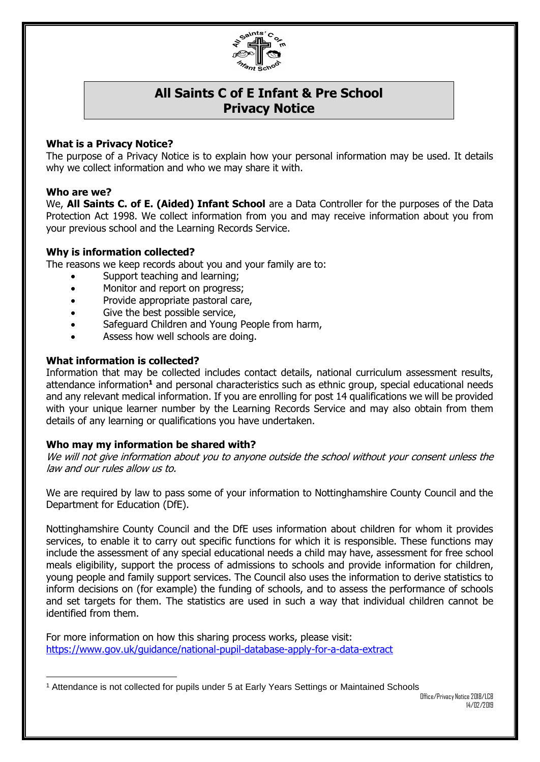

# **All Saints C of E Infant & Pre School Privacy Notice**

## **What is a Privacy Notice?**

The purpose of a Privacy Notice is to explain how your personal information may be used. It details why we collect information and who we may share it with.

### **Who are we?**

We, **All Saints C. of E. (Aided) Infant School** are a Data Controller for the purposes of the Data Protection Act 1998. We collect information from you and may receive information about you from your previous school and the Learning Records Service.

## **Why is information collected?**

The reasons we keep records about you and your family are to:

- Support teaching and learning;
- Monitor and report on progress;
- Provide appropriate pastoral care,
- Give the best possible service,
- Safeguard Children and Young People from harm,
- Assess how well schools are doing.

### **What information is collected?**

Information that may be collected includes contact details, national curriculum assessment results, attendance information**<sup>1</sup>** and personal characteristics such as ethnic group, special educational needs and any relevant medical information. If you are enrolling for post 14 qualifications we will be provided with your unique learner number by the Learning Records Service and may also obtain from them details of any learning or qualifications you have undertaken.

#### **Who may my information be shared with?**

We will not give information about you to anyone outside the school without your consent unless the law and our rules allow us to.

We are required by law to pass some of your information to Nottinghamshire County Council and the Department for Education (DfE).

Nottinghamshire County Council and the DfE uses information about children for whom it provides services, to enable it to carry out specific functions for which it is responsible. These functions may include the assessment of any special educational needs a child may have, assessment for free school meals eligibility, support the process of admissions to schools and provide information for children, young people and family support services. The Council also uses the information to derive statistics to inform decisions on (for example) the funding of schools, and to assess the performance of schools and set targets for them. The statistics are used in such a way that individual children cannot be identified from them.

For more information on how this sharing process works, please visit: <https://www.gov.uk/guidance/national-pupil-database-apply-for-a-data-extract>

<sup>-</sup><sup>1</sup> Attendance is not collected for pupils under 5 at Early Years Settings or Maintained Schools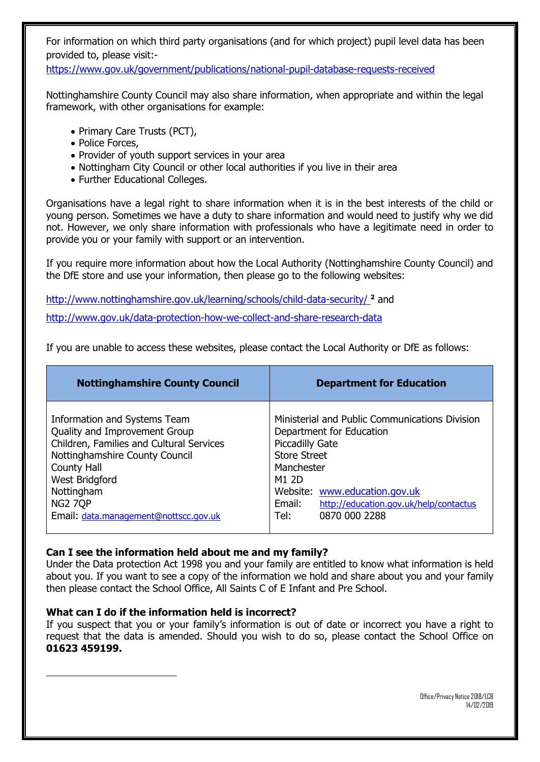For information on which third party organisations (and for which project) pupil level data has been provided to, please visit:-

<https://www.gov.uk/government/publications/national-pupil-database-requests-received>

Nottinghamshire County Council may also share information, when appropriate and within the legal framework, with other organisations for example:

- Primary Care Trusts (PCT),
- Police Forces,
- Provider of youth support services in your area
- Nottingham City Council or other local authorities if you live in their area
- Further Educational Colleges.

Organisations have a legal right to share information when it is in the best interests of the child or young person. Sometimes we have a duty to share information and would need to justify why we did not. However, we only share information with professionals who have a legitimate need in order to provide you or your family with support or an intervention.

If you require more information about how the Local Authority (Nottinghamshire County Council) and the DfE store and use your information, then please go to the following websites:

<http://www.nottinghamshire.gov.uk/learning/schools/child-data-security/> **<sup>2</sup>** and http://www.gov.uk/data-protection-how-we-collect-and-share-research-data

If you are unable to access these websites, please contact the Local Authority or DfE as follows:

| <b>Nottinghamshire County Council</b>                                                                                                                                                                                                                 | <b>Department for Education</b>                                                                                                                                                                                                                                  |
|-------------------------------------------------------------------------------------------------------------------------------------------------------------------------------------------------------------------------------------------------------|------------------------------------------------------------------------------------------------------------------------------------------------------------------------------------------------------------------------------------------------------------------|
| Information and Systems Team<br>Quality and Improvement Group<br>Children, Families and Cultural Services<br>Nottinghamshire County Council<br>County Hall<br>West Bridgford<br>Nottingham<br><b>NG2 7QP</b><br>Email: data.management@nottscc.gov.uk | Ministerial and Public Communications Division<br>Department for Education<br><b>Piccadilly Gate</b><br><b>Store Street</b><br>Manchester<br>M1 2D<br>Website: www.education.gov.uk<br>Email:<br>http://education.gov.uk/help/contactus<br>0870 000 2288<br>Tel: |

## **Can I see the information held about me and my family?**

Under the Data protection Act 1998 you and your family are entitled to know what information is held about you. If you want to see a copy of the information we hold and share about you and your family then please contact the School Office, All Saints C of E Infant and Pre School.

## **What can I do if the information held is incorrect?**

-

If you suspect that you or your family's information is out of date or incorrect you have a right to request that the data is amended. Should you wish to do so, please contact the School Office on **01623 459199.**